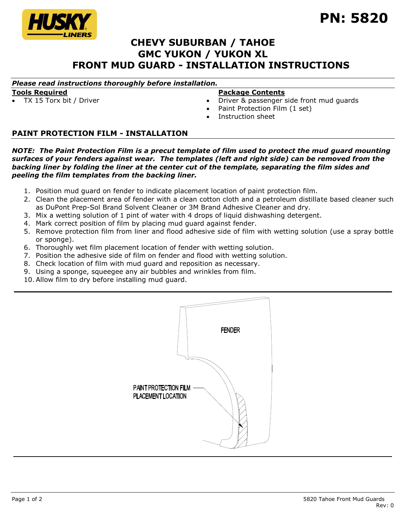

# **CHEVY SUBURBAN / TAHOE GMC YUKON / YUKON XL FRONT MUD GUARD - INSTALLATION INSTRUCTIONS**

## *Please read instructions thoroughly before installation.*

### **Tools Required**

## TX 15 Torx bit / Driver

#### **Package Contents**

- Driver & passenger side front mud guards
- Paint Protection Film (1 set)
- Instruction sheet

## **PAINT PROTECTION FILM - INSTALLATION**

*NOTE: The Paint Protection Film is a precut template of film used to protect the mud guard mounting surfaces of your fenders against wear. The templates (left and right side) can be removed from the backing liner by folding the liner at the center cut of the template, separating the film sides and peeling the film templates from the backing liner.*

- 1. Position mud guard on fender to indicate placement location of paint protection film.
- 2. Clean the placement area of fender with a clean cotton cloth and a petroleum distillate based cleaner such as DuPont Prep-Sol Brand Solvent Cleaner or 3M Brand Adhesive Cleaner and dry.
- 3. Mix a wetting solution of 1 pint of water with 4 drops of liquid dishwashing detergent.
- 4. Mark correct position of film by placing mud guard against fender.
- 5. Remove protection film from liner and flood adhesive side of film with wetting solution (use a spray bottle or sponge).
- 6. Thoroughly wet film placement location of fender with wetting solution.
- 7. Position the adhesive side of film on fender and flood with wetting solution.
- 8. Check location of film with mud guard and reposition as necessary.
- 9. Using a sponge, squeegee any air bubbles and wrinkles from film.
- 10.Allow film to dry before installing mud guard.